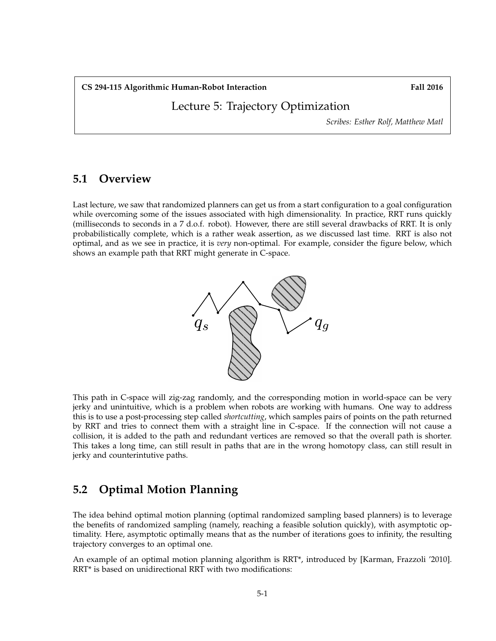**CS 294-115 Algorithmic Human-Robot Interaction Fall 2016**

Lecture 5: Trajectory Optimization

*Scribes: Esther Rolf, Matthew Matl*

## **5.1 Overview**

Last lecture, we saw that randomized planners can get us from a start configuration to a goal configuration while overcoming some of the issues associated with high dimensionality. In practice, RRT runs quickly (milliseconds to seconds in a 7 d.o.f. robot). However, there are still several drawbacks of RRT. It is only probabilistically complete, which is a rather weak assertion, as we discussed last time. RRT is also not optimal, and as we see in practice, it is *very* non-optimal. For example, consider the figure below, which shows an example path that RRT might generate in C-space.



This path in C-space will zig-zag randomly, and the corresponding motion in world-space can be very jerky and unintuitive, which is a problem when robots are working with humans. One way to address this is to use a post-processing step called *shortcutting*, which samples pairs of points on the path returned by RRT and tries to connect them with a straight line in C-space. If the connection will not cause a collision, it is added to the path and redundant vertices are removed so that the overall path is shorter. This takes a long time, can still result in paths that are in the wrong homotopy class, can still result in jerky and counterintutive paths.

## **5.2 Optimal Motion Planning**

The idea behind optimal motion planning (optimal randomized sampling based planners) is to leverage the benefits of randomized sampling (namely, reaching a feasible solution quickly), with asymptotic optimality. Here, asymptotic optimally means that as the number of iterations goes to infinity, the resulting trajectory converges to an optimal one.

An example of an optimal motion planning algorithm is RRT\*, introduced by [Karman, Frazzoli '2010]. RRT\* is based on unidirectional RRT with two modifications: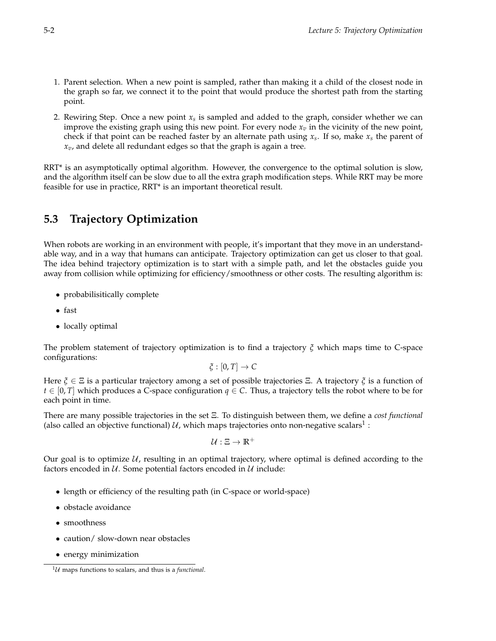- 1. Parent selection. When a new point is sampled, rather than making it a child of the closest node in the graph so far, we connect it to the point that would produce the shortest path from the starting point.
- 2. Rewiring Step. Once a new point *x<sup>s</sup>* is sampled and added to the graph, consider whether we can improve the existing graph using this new point. For every node  $x<sub>v</sub>$  in the vicinity of the new point, check if that point can be reached faster by an alternate path using *x<sup>s</sup>* . If so, make *x<sup>s</sup>* the parent of *xv*, and delete all redundant edges so that the graph is again a tree.

RRT<sup>\*</sup> is an asymptotically optimal algorithm. However, the convergence to the optimal solution is slow, and the algorithm itself can be slow due to all the extra graph modification steps. While RRT may be more feasible for use in practice, RRT\* is an important theoretical result.

## **5.3 Trajectory Optimization**

When robots are working in an environment with people, it's important that they move in an understandable way, and in a way that humans can anticipate. Trajectory optimization can get us closer to that goal. The idea behind trajectory optimization is to start with a simple path, and let the obstacles guide you away from collision while optimizing for efficiency/smoothness or other costs. The resulting algorithm is:

- probabilisitically complete
- fast
- locally optimal

The problem statement of trajectory optimization is to find a trajectory *ξ* which maps time to C-space configurations:

$$
\xi:[0,T]\to C
$$

Here *ξ* ∈ Ξ is a particular trajectory among a set of possible trajectories Ξ. A trajectory *ξ* is a function of *t* ∈ [0, *T*] which produces a C-space configuration *q* ∈ *C*. Thus, a trajectory tells the robot where to be for each point in time.

There are many possible trajectories in the set Ξ. To distinguish between them, we define a *cost functional* (also called an objective functional)  $\mathcal U$ , which maps trajectories onto non-negative scalars $^1$  :

$$
\mathcal{U}:\Xi\to\mathbb{R}^+
$$

Our goal is to optimize  $U$ , resulting in an optimal trajectory, where optimal is defined according to the factors encoded in  $U$ . Some potential factors encoded in  $U$  include:

- length or efficiency of the resulting path (in C-space or world-space)
- obstacle avoidance
- smoothness
- caution/ slow-down near obstacles
- energy minimization

 $1$ *U* maps functions to scalars, and thus is a *functional*.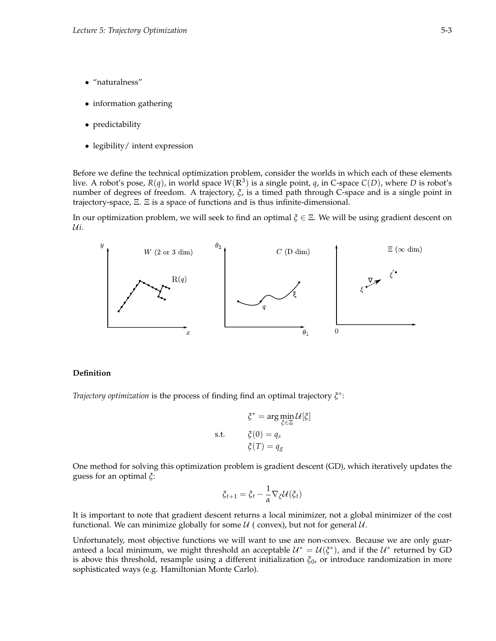- "naturalness"
- information gathering
- predictability
- legibility/ intent expression

Before we define the technical optimization problem, consider the worlds in which each of these elements live. A robot's pose, *R*(*q*), in world space *W*(**R**<sup>3</sup> ) is a single point, *q*, in C-space *C*(*D*), where *D* is robot's number of degrees of freedom. A trajectory, *ξ*, is a timed path through C-space and is a single point in trajectory-space, Ξ. Ξ is a space of functions and is thus infinite-dimensional.

In our optimization problem, we will seek to find an optimal *ξ* ∈ Ξ. We will be using gradient descent on U*i*.



#### **Definition**

*Trajectory optimization* is the process of finding find an optimal trajectory *ξ* ∗ :

$$
\xi^* = \arg\min_{\xi \in \Xi} \mathcal{U}[\xi]
$$
  
s.t. 
$$
\xi(0) = q_s
$$

$$
\xi(T) = q_g
$$

One method for solving this optimization problem is gradient descent (GD), which iteratively updates the guess for an optimal *ξ*:

$$
\xi_{t+1} = \xi_t - \frac{1}{\alpha} \nabla_{\xi} \mathcal{U}(\xi_t)
$$

It is important to note that gradient descent returns a local minimizer, not a global minimizer of the cost functional. We can minimize globally for some  $U$  (convex), but not for general  $U$ .

Unfortunately, most objective functions we will want to use are non-convex. Because we are only guaranteed a local minimum, we might threshold an acceptable  $\mathcal{U}^* = \mathcal{U}(\xi^*)$ , and if the  $\mathcal{U}^*$  returned by GD is above this threshold, resample using a different initialization *ξ*0, or introduce randomization in more sophisticated ways (e.g. Hamiltonian Monte Carlo).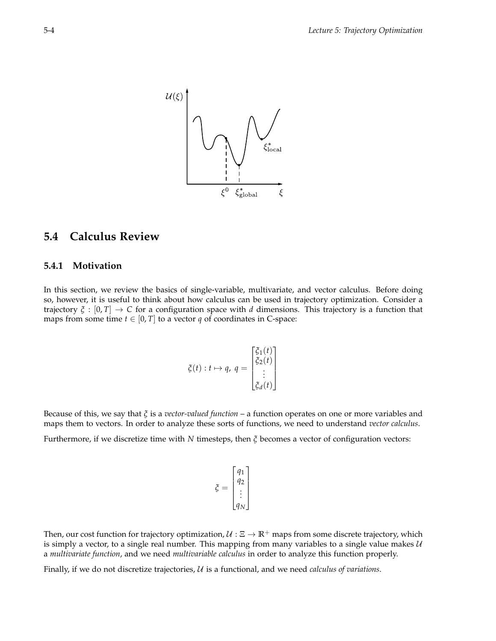

## **5.4 Calculus Review**

## **5.4.1 Motivation**

In this section, we review the basics of single-variable, multivariate, and vector calculus. Before doing so, however, it is useful to think about how calculus can be used in trajectory optimization. Consider a trajectory  $\zeta : [0, T] \to C$  for a configuration space with *d* dimensions. This trajectory is a function that maps from some time  $t \in [0, T]$  to a vector *q* of coordinates in C-space:

$$
\xi(t) : t \mapsto q, \ q = \begin{bmatrix} \xi_1(t) \\ \xi_2(t) \\ \vdots \\ \xi_d(t) \end{bmatrix}
$$

Because of this, we say that *ξ* is a *vector-valued function* – a function operates on one or more variables and maps them to vectors. In order to analyze these sorts of functions, we need to understand *vector calculus*.

Furthermore, if we discretize time with *N* timesteps, then *ξ* becomes a vector of configuration vectors:

$$
\xi = \begin{bmatrix} q_1 \\ q_2 \\ \vdots \\ q_N \end{bmatrix}
$$

Then, our cost function for trajectory optimization,  $U : \Xi \to \mathbb{R}^+$  maps from some discrete trajectory, which is simply a vector, to a single real number. This mapping from many variables to a single value makes  $U$ a *multivariate function*, and we need *multivariable calculus* in order to analyze this function properly.

Finally, if we do not discretize trajectories, U is a functional, and we need *calculus of variations*.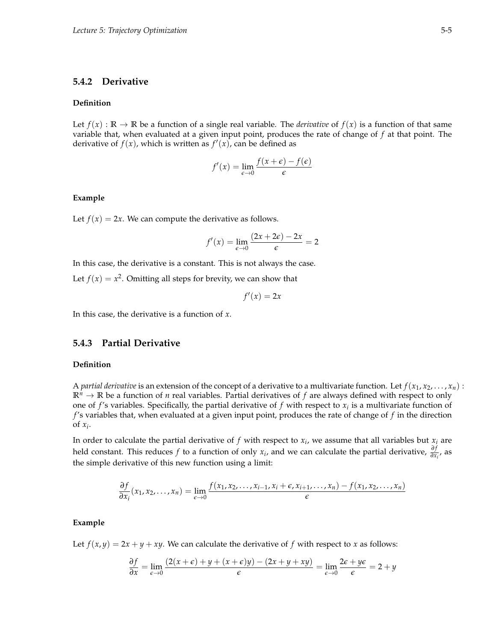## **5.4.2 Derivative**

### **Definition**

Let  $f(x): \mathbb{R} \to \mathbb{R}$  be a function of a single real variable. The *derivative* of  $f(x)$  is a function of that same variable that, when evaluated at a given input point, produces the rate of change of *f* at that point. The derivative of  $f(x)$ , which is written as  $f'(x)$ , can be defined as

$$
f'(x) = \lim_{\epsilon \to 0} \frac{f(x+\epsilon) - f(\epsilon)}{\epsilon}
$$

#### **Example**

Let  $f(x) = 2x$ . We can compute the derivative as follows.

$$
f'(x) = \lim_{\epsilon \to 0} \frac{(2x + 2\epsilon) - 2x}{\epsilon} = 2
$$

In this case, the derivative is a constant. This is not always the case.

Let  $f(x) = x^2$ . Omitting all steps for brevity, we can show that

$$
f'(x) = 2x
$$

In this case, the derivative is a function of *x*.

## **5.4.3 Partial Derivative**

#### **Definition**

A *partial derivative* is an extension of the concept of a derivative to a multivariate function. Let  $f(x_1, x_2, \ldots, x_n)$ :  $\mathbb{R}^n \to \mathbb{R}$  be a function of *n* real variables. Partial derivatives of *f* are always defined with respect to only one of  $f$ 's variables. Specifically, the partial derivative of  $f$  with respect to  $x_i$  is a multivariate function of *f* 's variables that, when evaluated at a given input point, produces the rate of change of *f* in the direction of  $x_i$ .

In order to calculate the partial derivative of  $f$  with respect to  $x_i$ , we assume that all variables but  $x_i$  are held constant. This reduces *f* to a function of only  $x_i$ , and we can calculate the partial derivative,  $\frac{\partial f}{\partial x_i}$ , as the simple derivative of this new function using a limit:

$$
\frac{\partial f}{\partial x_i}(x_1, x_2, \dots, x_n) = \lim_{\epsilon \to 0} \frac{f(x_1, x_2, \dots, x_{i-1}, x_i + \epsilon, x_{i+1}, \dots, x_n) - f(x_1, x_2, \dots, x_n)}{\epsilon}
$$

#### **Example**

Let  $f(x, y) = 2x + y + xy$ . We can calculate the derivative of f with respect to *x* as follows:

$$
\frac{\partial f}{\partial x} = \lim_{\epsilon \to 0} \frac{(2(x+\epsilon) + y + (x+\epsilon)y) - (2x + y + xy)}{\epsilon} = \lim_{\epsilon \to 0} \frac{2\epsilon + y\epsilon}{\epsilon} = 2 + y
$$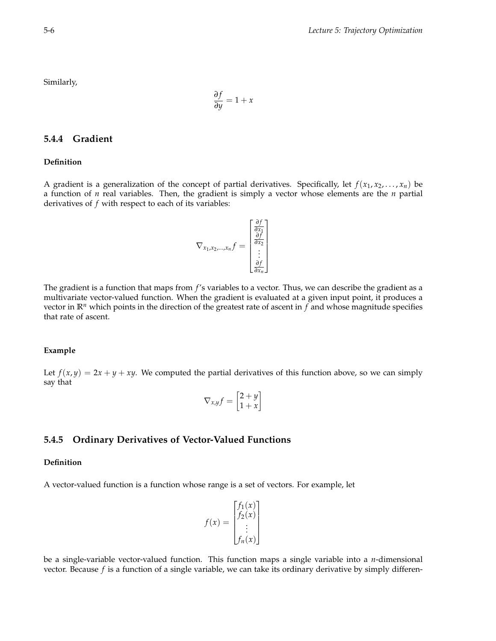Similarly,

$$
\frac{\partial f}{\partial y} = 1 + x
$$

## **5.4.4 Gradient**

#### **Definition**

A gradient is a generalization of the concept of partial derivatives. Specifically, let  $f(x_1, x_2, \ldots, x_n)$  be a function of *n* real variables. Then, the gradient is simply a vector whose elements are the *n* partial derivatives of *f* with respect to each of its variables:

$$
\nabla_{x_1, x_2, \dots, x_n} f = \begin{bmatrix} \frac{\partial f}{\partial x_1} \\ \frac{\partial f}{\partial x_2} \\ \vdots \\ \frac{\partial f}{\partial x_n} \end{bmatrix}
$$

The gradient is a function that maps from *f* 's variables to a vector. Thus, we can describe the gradient as a multivariate vector-valued function. When the gradient is evaluated at a given input point, it produces a vector in **R***<sup>n</sup>* which points in the direction of the greatest rate of ascent in *f* and whose magnitude specifies that rate of ascent.

### **Example**

Let  $f(x, y) = 2x + y + xy$ . We computed the partial derivatives of this function above, so we can simply say that

$$
\nabla_{x,y}f=\begin{bmatrix}2+y\\1+x\end{bmatrix}
$$

## **5.4.5 Ordinary Derivatives of Vector-Valued Functions**

### **Definition**

A vector-valued function is a function whose range is a set of vectors. For example, let

$$
f(x) = \begin{bmatrix} f_1(x) \\ f_2(x) \\ \vdots \\ f_n(x) \end{bmatrix}
$$

be a single-variable vector-valued function. This function maps a single variable into a *n*-dimensional vector. Because *f* is a function of a single variable, we can take its ordinary derivative by simply differen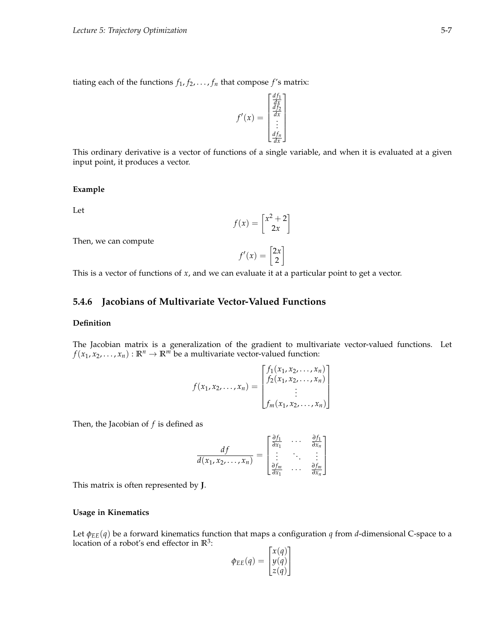tiating each of the functions  $f_1, f_2, \ldots, f_n$  that compose  $f$ 's matrix:

$$
f'(x) = \begin{bmatrix} \frac{df_1}{dx} \\ \frac{df_2}{dx} \\ \vdots \\ \frac{df_n}{dx} \end{bmatrix}
$$

This ordinary derivative is a vector of functions of a single variable, and when it is evaluated at a given input point, it produces a vector.

#### **Example**

Let

$$
f(x) = \begin{bmatrix} x^2 + 2 \\ 2x \end{bmatrix}
$$

Then, we can compute

$$
f'(x) = \begin{bmatrix} 2x \\ 2 \end{bmatrix}
$$

This is a vector of functions of *x*, and we can evaluate it at a particular point to get a vector.

### **5.4.6 Jacobians of Multivariate Vector-Valued Functions**

#### **Definition**

The Jacobian matrix is a generalization of the gradient to multivariate vector-valued functions. Let  $f(x_1, x_2, \ldots, x_n): \mathbb{R}^n \to \mathbb{R}^m$  be a multivariate vector-valued function:

$$
f(x_1, x_2,..., x_n) = \begin{bmatrix} f_1(x_1, x_2,..., x_n) \\ f_2(x_1, x_2,..., x_n) \\ \vdots \\ f_m(x_1, x_2,..., x_n) \end{bmatrix}
$$

Then, the Jacobian of *f* is defined as

$$
\frac{df}{d(x_1, x_2, \ldots, x_n)} = \begin{bmatrix} \frac{\partial f_1}{\partial x_1} & \cdots & \frac{\partial f_1}{\partial x_n} \\ \vdots & \ddots & \vdots \\ \frac{\partial f_m}{\partial x_1} & \cdots & \frac{\partial f_m}{\partial x_n} \end{bmatrix}
$$

This matrix is often represented by **J**.

#### **Usage in Kinematics**

Let *φEE*(*q*) be a forward kinematics function that maps a configuration *q* from *d*-dimensional C-space to a location of a robot's end effector in **R**<sup>3</sup> :

$$
\phi_{EE}(q) = \begin{bmatrix} x(q) \\ y(q) \\ z(q) \end{bmatrix}
$$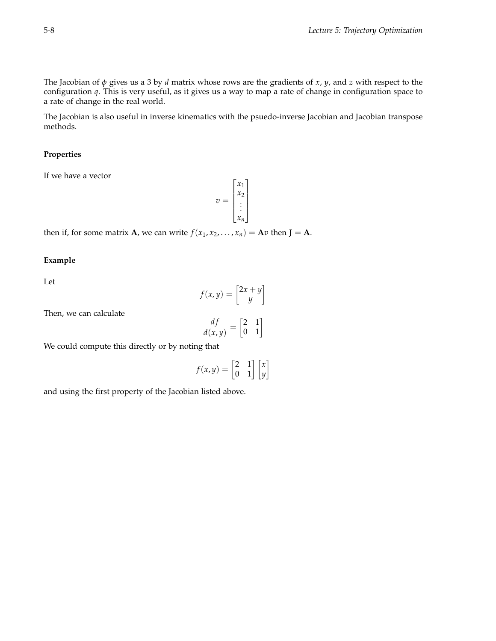The Jacobian of *φ* gives us a 3 by *d* matrix whose rows are the gradients of *x*, *y*, and *z* with respect to the configuration *q*. This is very useful, as it gives us a way to map a rate of change in configuration space to a rate of change in the real world.

The Jacobian is also useful in inverse kinematics with the psuedo-inverse Jacobian and Jacobian transpose methods.

### **Properties**

If we have a vector

 $v =$  $\lceil$  *x*1 *x*2 . . . *xn* 1 

then if, for some matrix **A**, we can write  $f(x_1, x_2, ..., x_n) = \mathbf{A}v$  then  $\mathbf{J} = \mathbf{A}$ .

**Example**

Let

$$
f(x,y) = \begin{bmatrix} 2x + y \\ y \end{bmatrix}
$$

Then, we can calculate

$$
\frac{df}{d(x,y)} = \begin{bmatrix} 2 & 1 \\ 0 & 1 \end{bmatrix}
$$

We could compute this directly or by noting that

$$
f(x,y) = \begin{bmatrix} 2 & 1 \\ 0 & 1 \end{bmatrix} \begin{bmatrix} x \\ y \end{bmatrix}
$$

and using the first property of the Jacobian listed above.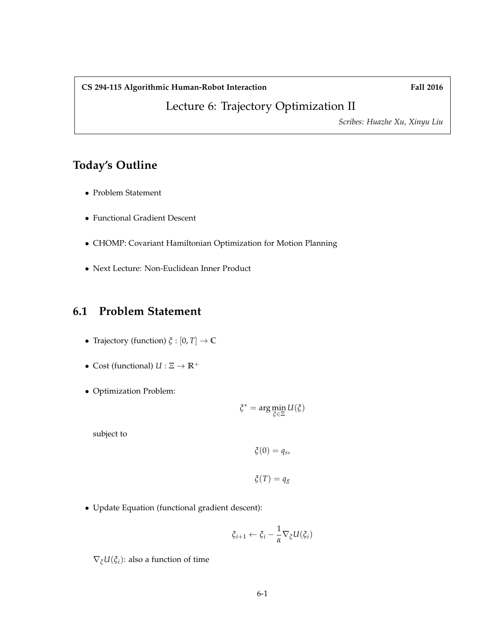### CS 294-115 Algorithmic Human-Robot Interaction Fall 2016

Lecture 6: Trajectory Optimization II

*Scribes: Huazhe Xu, Xinyu Liu*

## **Today's Outline**

- Problem Statement
- Functional Gradient Descent
- CHOMP: Covariant Hamiltonian Optimization for Motion Planning
- Next Lecture: Non-Euclidean Inner Product

## **6.1 Problem Statement**

- Trajectory (function) *ξ* : [0, *T*] → **C**
- Cost (functional)  $U : \Xi \to \mathbb{R}^+$
- Optimization Problem:

$$
\xi^* = \arg\min_{\xi\in\Xi} U(\xi)
$$

subject to

$$
\xi(0)=q_s,
$$

$$
\xi(T) = q_g
$$

• Update Equation (functional gradient descent):

$$
\xi_{i+1} \leftarrow \xi_i - \frac{1}{\alpha} \nabla_{\xi} U(\xi_i)
$$

 $\nabla_{\xi}U(\xi_i)$ : also a function of time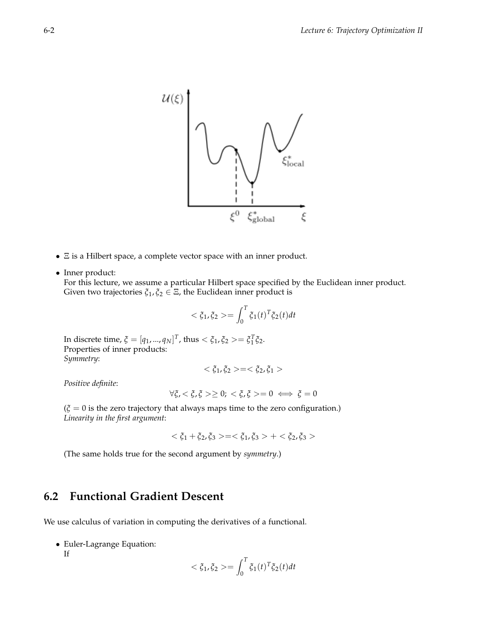

- Ξ is a Hilbert space, a complete vector space with an inner product.
- Inner product:

For this lecture, we assume a particular Hilbert space specified by the Euclidean inner product. Given two trajectories  $\xi_1, \xi_2 \in \Xi$ , the Euclidean inner product is

$$
<\xi_1, \xi_2> = \int_0^T \xi_1(t)^T \xi_2(t) dt
$$

In discrete time,  $\xi = [q_1, ..., q_N]^T$ , thus  $\langle \xi_1, \xi_2 \rangle = \xi_1^T \xi_2$ . Properties of inner products: *Symmetry*:

$$
<\xi_1,\xi_2>=<\xi_2,\xi_1>
$$

*Positive definite*:

$$
\forall \xi, \xi, \xi \xi \geq 0; \xi, \xi \geq 0 \iff \xi = 0
$$

 $(\xi = 0$  is the zero trajectory that always maps time to the zero configuration.) *Linearity in the first argument*:

 $< \xi_1 + \xi_2, \xi_3 > = < \xi_1, \xi_3 > + < \xi_2, \xi_3 >$ 

(The same holds true for the second argument by *symmetry*.)

## **6.2 Functional Gradient Descent**

We use calculus of variation in computing the derivatives of a functional.

• Euler-Lagrange Equation:

If

$$
<\xi_1, \xi_2> = \int_0^T \xi_1(t)^T \xi_2(t) dt
$$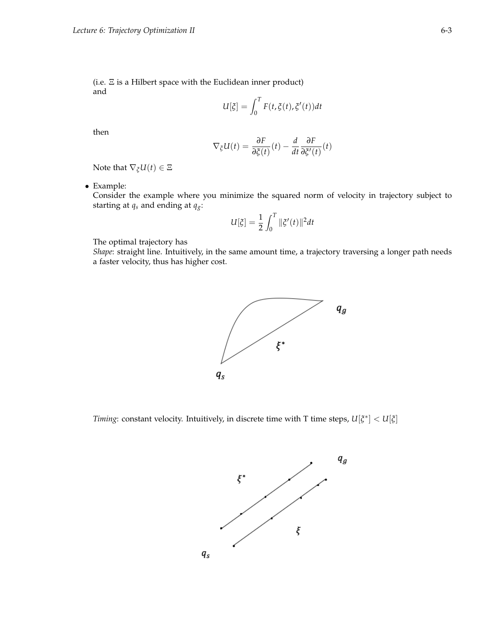(i.e. Ξ is a Hilbert space with the Euclidean inner product) and

$$
U[\xi] = \int_0^T F(t, \xi(t), \xi'(t)) dt
$$

then

$$
\nabla_{\xi} U(t) = \frac{\partial F}{\partial \xi(t)}(t) - \frac{d}{dt} \frac{\partial F}{\partial \xi'(t)}(t)
$$

Note that  $\nabla_{\xi}U(t) \in \Xi$ 

• Example:

Consider the example where you minimize the squared norm of velocity in trajectory subject to starting at  $q_s$  and ending at  $q_g$ :

$$
U[\xi] = \frac{1}{2} \int_0^T \|\xi'(t)\|^2 dt
$$

The optimal trajectory has

*Shape*: straight line. Intuitively, in the same amount time, a trajectory traversing a longer path needs a faster velocity, thus has higher cost.



*Timing*: constant velocity. Intuitively, in discrete time with T time steps, *U*[*ξ* ∗ ] < *U*[*ξ*]

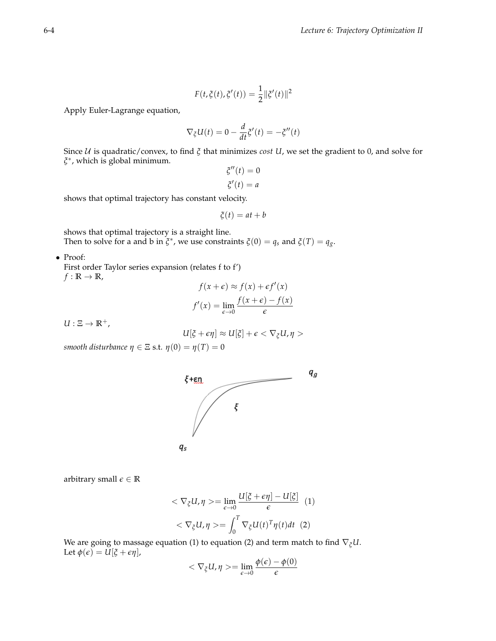$$
F(t, \xi(t), \xi'(t)) = \frac{1}{2} ||\xi'(t)||^2
$$

Apply Euler-Lagrange equation,

$$
\nabla_{\xi}U(t) = 0 - \frac{d}{dt}\xi'(t) = -\xi''(t)
$$

Since U is quadratic/convex, to find *ξ* that minimizes *cost U*, we set the gradient to 0, and solve for *ξ* ∗ , which is global minimum.

$$
\xi''(t) = 0
$$

$$
\xi'(t) = a
$$

shows that optimal trajectory has constant velocity.

$$
\xi(t) = at + b
$$

shows that optimal trajectory is a straight line. Then to solve for a and b in  $\zeta^*$ , we use constraints  $\zeta(0) = q_s$  and  $\zeta(T) = q_g$ .

• Proof:

First order Taylor series expansion (relates f to f')  $f : \mathbb{R} \to \mathbb{R}$ ,

$$
f(x+\epsilon) \approx f(x) + \epsilon f'(x)
$$

$$
f'(x) = \lim_{\epsilon \to 0} \frac{f(x+\epsilon) - f(x)}{\epsilon}
$$

 $U: \Xi \rightarrow \mathbb{R}^+$ ,

$$
U[\xi+\epsilon\eta]\approx U[\xi]+\epsilon<\nabla_\xi U,\eta>
$$

*smooth disturbance*  $\eta \in \Xi$  *s.t.*  $\eta(0) = \eta(T) = 0$ 



arbitrary small  $\epsilon \in \mathbb{R}$ 

$$
\langle \nabla_{\xi} U, \eta \rangle = \lim_{\epsilon \to 0} \frac{U[\xi + \epsilon \eta] - U[\xi]}{\epsilon} \tag{1}
$$

$$
\langle \nabla_{\xi} U, \eta \rangle = \int_{0}^{T} \nabla_{\xi} U(t)^{T} \eta(t) dt \tag{2}
$$

We are going to massage equation (1) to equation (2) and term match to find ∇*ξU*. Let  $\phi(\epsilon) = \tilde{U}[\xi + \epsilon \eta]$ ,

$$
\langle \nabla_{\xi} U, \eta \rangle = \lim_{\epsilon \to 0} \frac{\phi(\epsilon) - \phi(0)}{\epsilon}
$$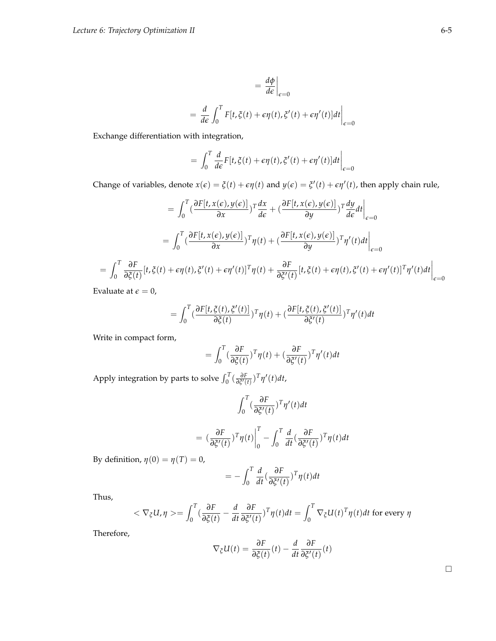$$
= \frac{d\phi}{d\epsilon}\Big|_{\epsilon=0}
$$
  
= 
$$
\frac{d}{d\epsilon} \int_0^T F[t, \xi(t) + \epsilon \eta(t), \xi'(t) + \epsilon \eta'(t)]dt\Big|_{\epsilon=0}
$$

Exchange differentiation with integration,

$$
= \int_0^T \frac{d}{d\epsilon} F[t, \xi(t) + \epsilon \eta(t), \xi'(t) + \epsilon \eta'(t)] dt \Big|_{\epsilon=0}
$$

Change of variables, denote  $x(\epsilon) = \xi(t) + \epsilon \eta(t)$  and  $y(\epsilon) = \xi'(t) + \epsilon \eta'(t)$ , then apply chain rule,

$$
= \int_0^T \left(\frac{\partial F[t, x(\epsilon), y(\epsilon)]}{\partial x}\right)^T \frac{dx}{d\epsilon} + \left(\frac{\partial F[t, x(\epsilon), y(\epsilon)]}{\partial y}\right)^T \frac{dy}{d\epsilon} dt \Big|_{\epsilon=0}
$$
  

$$
= \int_0^T \left(\frac{\partial F[t, x(\epsilon), y(\epsilon)]}{\partial x}\right)^T \eta(t) + \left(\frac{\partial F[t, x(\epsilon), y(\epsilon)]}{\partial y}\right)^T \eta'(t) dt \Big|_{\epsilon=0}
$$
  

$$
= \int_0^T \frac{\partial F}{\partial \xi(t)}[t, \xi(t) + \epsilon \eta(t), \xi'(t) + \epsilon \eta'(t)]^T \eta(t) + \frac{\partial F}{\partial \xi'(t)}[t, \xi(t) + \epsilon \eta(t), \xi'(t) + \epsilon \eta'(t)]^T \eta'(t) dt \Big|_{\epsilon=0}
$$

Evaluate at  $\epsilon = 0$ ,

$$
= \int_0^T \left(\frac{\partial F[t,\xi(t),\xi'(t)]}{\partial \xi(t)}\right)T\eta(t) + \left(\frac{\partial F[t,\xi(t),\xi'(t)]}{\partial \xi'(t)}\right)T\eta'(t)dt
$$

Write in compact form,

$$
= \int_0^T \left(\frac{\partial F}{\partial \xi(t)}\right)^T \eta(t) + \left(\frac{\partial F}{\partial \xi'(t)}\right)^T \eta'(t) dt
$$

Apply integration by parts to solve  $\int_0^T (\frac{\partial F}{\partial \xi'(t)})^T \eta'(t) dt$ ,

$$
\int_0^T \left(\frac{\partial F}{\partial \xi'(t)}\right)^T \eta'(t) dt
$$

$$
= \left(\frac{\partial F}{\partial \xi'(t)}\right)^T \eta(t) \Big|_0^T - \int_0^T \frac{d}{dt} \left(\frac{\partial F}{\partial \xi'(t)}\right)^T \eta(t) dt
$$

By definition,  $\eta(0) = \eta(T) = 0$ ,

$$
= -\int_0^T \frac{d}{dt} \left(\frac{\partial F}{\partial \xi'(t)}\right)^T \eta(t) dt
$$

Thus,

$$
<\nabla_{\xi}U, \eta> = \int_0^T \left(\frac{\partial F}{\partial \xi(t)} - \frac{d}{dt} \frac{\partial F}{\partial \xi'(t)}\right)^T \eta(t) dt = \int_0^T \nabla_{\xi} U(t)^T \eta(t) dt
$$
 for every  $\eta$ 

Therefore,

$$
\nabla_{\xi}U(t) = \frac{\partial F}{\partial \xi(t)}(t) - \frac{d}{dt}\frac{\partial F}{\partial \xi'(t)}(t)
$$

|  |  | ۰ |
|--|--|---|
|  |  |   |
|  |  |   |